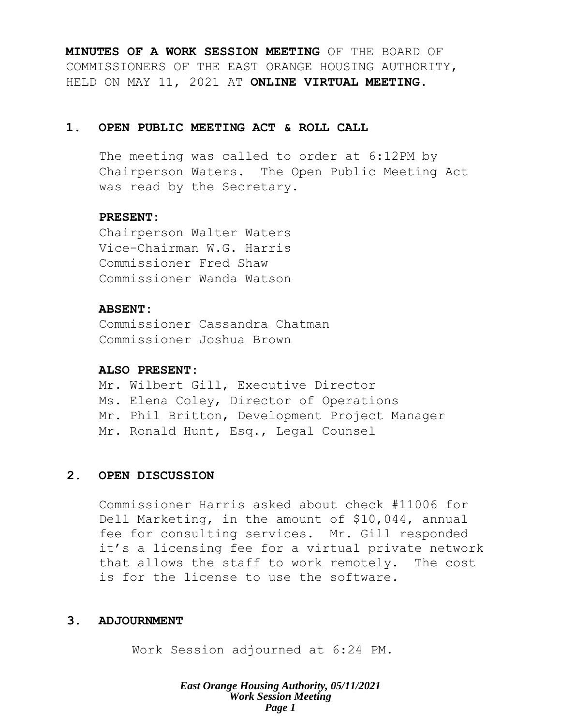**MINUTES OF A WORK SESSION MEETING** OF THE BOARD OF COMMISSIONERS OF THE EAST ORANGE HOUSING AUTHORITY, HELD ON MAY 11, 2021 AT **ONLINE VIRTUAL MEETING**.

## **1. OPEN PUBLIC MEETING ACT & ROLL CALL**

The meeting was called to order at 6:12PM by Chairperson Waters. The Open Public Meeting Act was read by the Secretary.

## **PRESENT:**

Chairperson Walter Waters Vice-Chairman W.G. Harris Commissioner Fred Shaw Commissioner Wanda Watson

## **ABSENT:**

Commissioner Cassandra Chatman Commissioner Joshua Brown

## **ALSO PRESENT:**

Mr. Wilbert Gill, Executive Director Ms. Elena Coley, Director of Operations Mr. Phil Britton, Development Project Manager Mr. Ronald Hunt, Esq., Legal Counsel

## **2. OPEN DISCUSSION**

Commissioner Harris asked about check #11006 for Dell Marketing, in the amount of \$10,044, annual fee for consulting services. Mr. Gill responded it's a licensing fee for a virtual private network that allows the staff to work remotely. The cost is for the license to use the software.

## **3. ADJOURNMENT**

Work Session adjourned at 6:24 PM.

*East Orange Housing Authority, 05/11/2021 Work Session Meeting Page 1*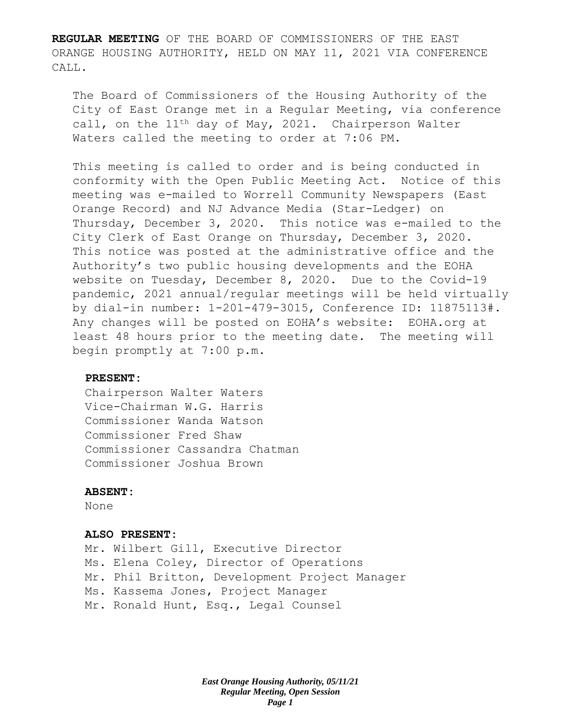**REGULAR MEETING** OF THE BOARD OF COMMISSIONERS OF THE EAST ORANGE HOUSING AUTHORITY, HELD ON MAY 11, 2021 VIA CONFERENCE CALL.

The Board of Commissioners of the Housing Authority of the City of East Orange met in a Regular Meeting, via conference call, on the  $11<sup>th</sup>$  day of May, 2021. Chairperson Walter Waters called the meeting to order at 7:06 PM.

This meeting is called to order and is being conducted in conformity with the Open Public Meeting Act. Notice of this meeting was e-mailed to Worrell Community Newspapers (East Orange Record) and NJ Advance Media (Star-Ledger) on Thursday, December 3, 2020. This notice was e-mailed to the City Clerk of East Orange on Thursday, December 3, 2020. This notice was posted at the administrative office and the Authority's two public housing developments and the EOHA website on Tuesday, December 8, 2020. Due to the Covid-19 pandemic, 2021 annual/regular meetings will be held virtually by dial-in number: 1-201-479-3015, Conference ID: 11875113#. Any changes will be posted on EOHA's website: EOHA.org at least 48 hours prior to the meeting date. The meeting will begin promptly at 7:00 p.m.

#### **PRESENT:**

Chairperson Walter Waters Vice-Chairman W.G. Harris Commissioner Wanda Watson Commissioner Fred Shaw Commissioner Cassandra Chatman Commissioner Joshua Brown

#### **ABSENT:**

None

#### **ALSO PRESENT:**

Mr. Wilbert Gill, Executive Director Ms. Elena Coley, Director of Operations Mr. Phil Britton, Development Project Manager Ms. Kassema Jones, Project Manager Mr. Ronald Hunt, Esq., Legal Counsel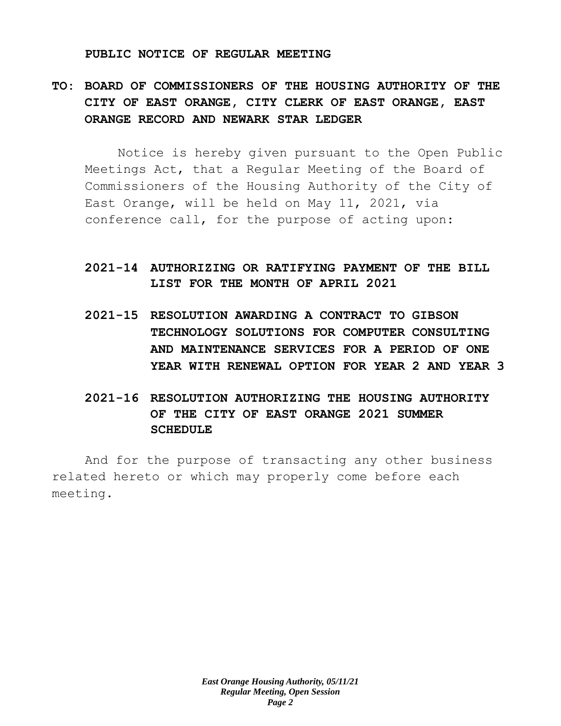#### **PUBLIC NOTICE OF REGULAR MEETING**

# **TO: BOARD OF COMMISSIONERS OF THE HOUSING AUTHORITY OF THE CITY OF EAST ORANGE, CITY CLERK OF EAST ORANGE, EAST ORANGE RECORD AND NEWARK STAR LEDGER**

Notice is hereby given pursuant to the Open Public Meetings Act, that a Regular Meeting of the Board of Commissioners of the Housing Authority of the City of East Orange, will be held on May 11, 2021, via conference call, for the purpose of acting upon:

# **2021-14 AUTHORIZING OR RATIFYING PAYMENT OF THE BILL LIST FOR THE MONTH OF APRIL 2021**

- **2021-15 RESOLUTION AWARDING A CONTRACT TO GIBSON TECHNOLOGY SOLUTIONS FOR COMPUTER CONSULTING AND MAINTENANCE SERVICES FOR A PERIOD OF ONE YEAR WITH RENEWAL OPTION FOR YEAR 2 AND YEAR 3**
- **2021-16 RESOLUTION AUTHORIZING THE HOUSING AUTHORITY OF THE CITY OF EAST ORANGE 2021 SUMMER SCHEDULE**

And for the purpose of transacting any other business related hereto or which may properly come before each meeting.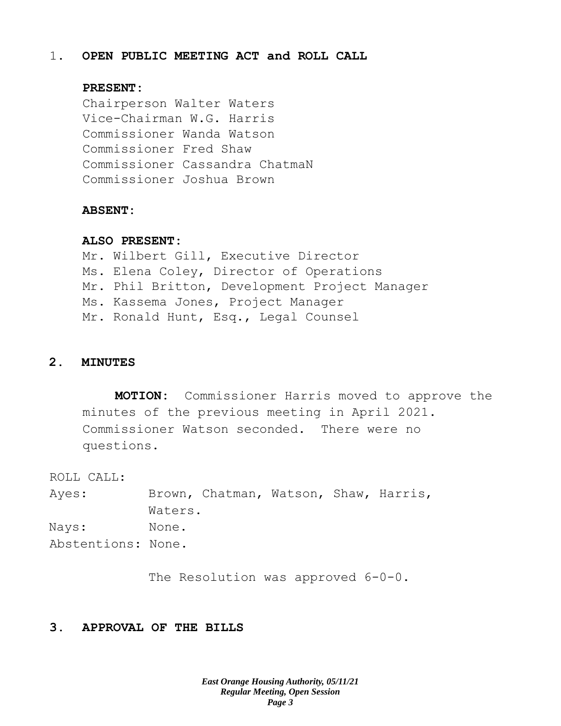## 1. **OPEN PUBLIC MEETING ACT and ROLL CALL**

#### **PRESENT:**

Chairperson Walter Waters Vice-Chairman W.G. Harris Commissioner Wanda Watson Commissioner Fred Shaw Commissioner Cassandra ChatmaN Commissioner Joshua Brown

#### **ABSENT:**

#### **ALSO PRESENT:**

Mr. Wilbert Gill, Executive Director Ms. Elena Coley, Director of Operations Mr. Phil Britton, Development Project Manager Ms. Kassema Jones, Project Manager Mr. Ronald Hunt, Esq., Legal Counsel

### **2. MINUTES**

**MOTION:** Commissioner Harris moved to approve the minutes of the previous meeting in April 2021. Commissioner Watson seconded. There were no questions.

ROLL CALL:

Ayes: Brown, Chatman, Watson, Shaw, Harris, Waters. Nays: None. Abstentions: None.

The Resolution was approved  $6-0-0$ .

### **3. APPROVAL OF THE BILLS**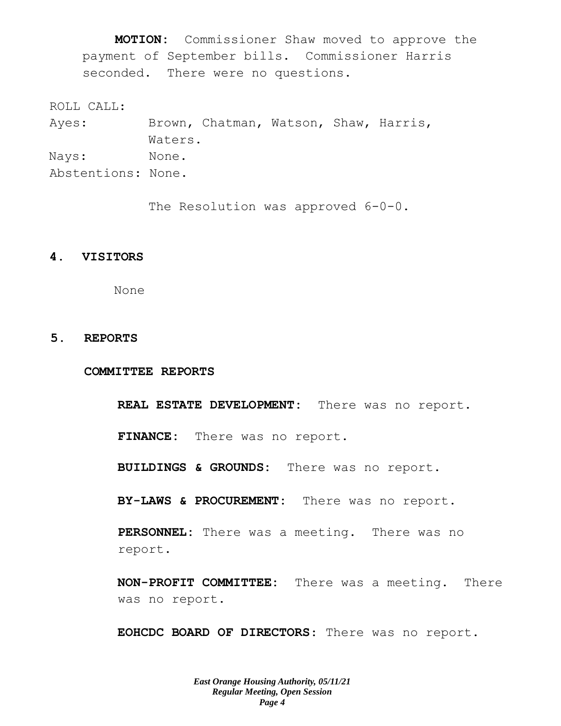**MOTION:** Commissioner Shaw moved to approve the payment of September bills. Commissioner Harris seconded. There were no questions.

ROLL CALL:

Ayes: Brown, Chatman, Watson, Shaw, Harris, Waters. Nays: None. Abstentions: None.

The Resolution was approved  $6-0-0$ .

## **4. VISITORS**

None

## **5. REPORTS**

**COMMITTEE REPORTS**

**REAL ESTATE DEVELOPMENT:** There was no report.

**FINANCE:** There was no report.

**BUILDINGS & GROUNDS:** There was no report.

**BY-LAWS & PROCUREMENT:** There was no report.

**PERSONNEL:** There was a meeting. There was no report.

**NON-PROFIT COMMITTEE:** There was a meeting. There was no report.

**EOHCDC BOARD OF DIRECTORS**: There was no report.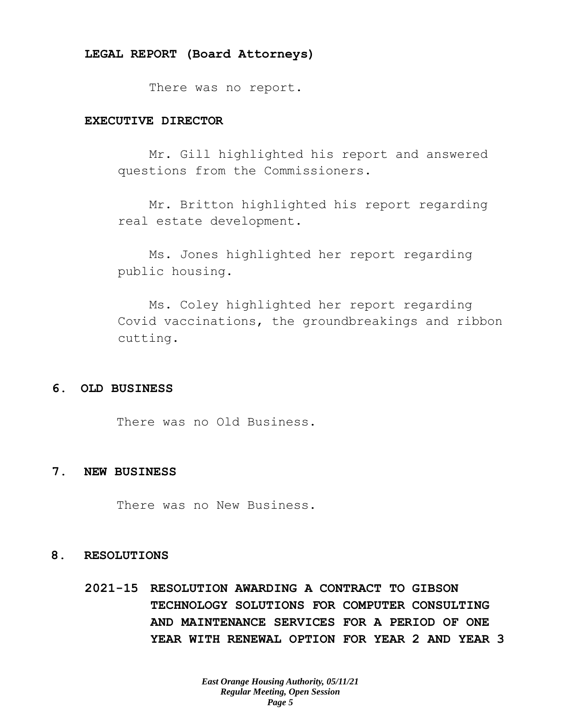There was no report.

## **EXECUTIVE DIRECTOR**

Mr. Gill highlighted his report and answered questions from the Commissioners.

Mr. Britton highlighted his report regarding real estate development.

Ms. Jones highlighted her report regarding public housing.

Ms. Coley highlighted her report regarding Covid vaccinations, the groundbreakings and ribbon cutting.

#### **6. OLD BUSINESS**

There was no Old Business.

#### **7. NEW BUSINESS**

There was no New Business.

#### **8. RESOLUTIONS**

**2021-15 RESOLUTION AWARDING A CONTRACT TO GIBSON TECHNOLOGY SOLUTIONS FOR COMPUTER CONSULTING AND MAINTENANCE SERVICES FOR A PERIOD OF ONE YEAR WITH RENEWAL OPTION FOR YEAR 2 AND YEAR 3**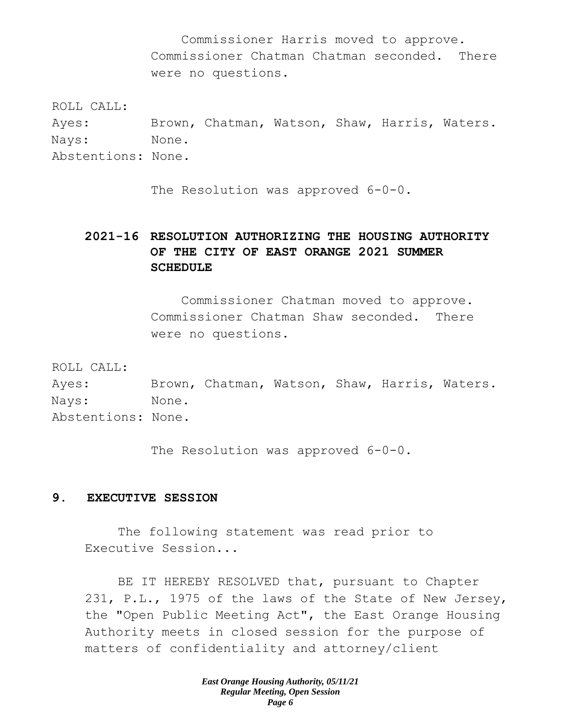Commissioner Harris moved to approve. Commissioner Chatman Chatman seconded. There were no questions.

ROLL CALL:

Ayes: Brown, Chatman, Watson, Shaw, Harris, Waters. Nays: None. Abstentions: None.

The Resolution was approved 6-0-0.

# **2021-16 RESOLUTION AUTHORIZING THE HOUSING AUTHORITY OF THE CITY OF EAST ORANGE 2021 SUMMER SCHEDULE**

Commissioner Chatman moved to approve. Commissioner Chatman Shaw seconded. There were no questions.

ROLL CALL:

Ayes: Brown, Chatman, Watson, Shaw, Harris, Waters. Nays: None. Abstentions: None.

The Resolution was approved  $6-0-0$ .

## **9. EXECUTIVE SESSION**

The following statement was read prior to Executive Session...

BE IT HEREBY RESOLVED that, pursuant to Chapter 231, P.L., 1975 of the laws of the State of New Jersey, the "Open Public Meeting Act", the East Orange Housing Authority meets in closed session for the purpose of matters of confidentiality and attorney/client